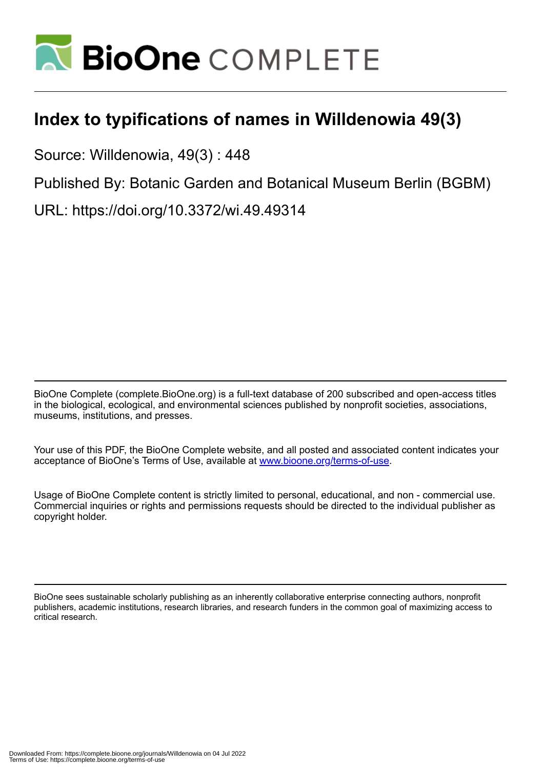

## **Index to typifications of names in Willdenowia 49(3)**

Source: Willdenowia, 49(3) : 448

Published By: Botanic Garden and Botanical Museum Berlin (BGBM)

URL: https://doi.org/10.3372/wi.49.49314

BioOne Complete (complete.BioOne.org) is a full-text database of 200 subscribed and open-access titles in the biological, ecological, and environmental sciences published by nonprofit societies, associations, museums, institutions, and presses.

Your use of this PDF, the BioOne Complete website, and all posted and associated content indicates your acceptance of BioOne's Terms of Use, available at www.bioone.org/terms-of-use.

Usage of BioOne Complete content is strictly limited to personal, educational, and non - commercial use. Commercial inquiries or rights and permissions requests should be directed to the individual publisher as copyright holder.

BioOne sees sustainable scholarly publishing as an inherently collaborative enterprise connecting authors, nonprofit publishers, academic institutions, research libraries, and research funders in the common goal of maximizing access to critical research.